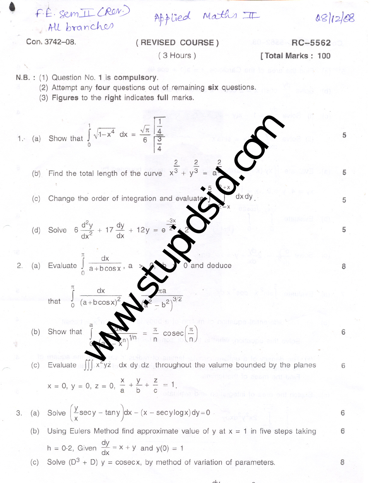$F.E. sem II (Rov)$ . All branches

Applied Maths III

08/12/08

5

5

5

8

6

6

6

6

8

Con. 3742-08.

,

## (REVISED COURSE) ( 3 Hours)

RC-5562 [Total Marks: 100

N.B. : (1) Question No. 1 is compulsory.

(2) Attempt any four questions out of remaining six questions.

(3) Figures to the right indicates full marks.

1. (a) Show that 
$$
\int_{0}^{1} \sqrt{1-x^4} \, dx = \frac{\sqrt{\pi}}{6} \frac{\frac{1}{4}}{\frac{4}{4}}
$$
  
\n(b) Find the total length of the curve  $x^{\frac{2}{3}} + y^{\frac{2}{3}} = \frac{2}{\pi}$   
\n(c) Change the order of integration and evaluate  $\int_{0}^{5} \frac{1}{4x^2} \, dx \, dy$   
\n(d) Solve  $6 \frac{d^2y}{dx^2} + 17 \frac{dy}{dx} + 12y = e^{\frac{3x}{2}}$   
\n2. (a) Evaluate  $\int_{0}^{\pi} \frac{dx}{a + b \cos x}$ , a  $\Rightarrow \lim_{x \to 0} \frac{\pi}{a}$   
\n(b) Show that  $\int_{0}^{\pi} \frac{dx}{(a + b \cos x)^2} \, dx \, dy \, dz$  throughout the value bounded by the planes  
\n $x = 0, y = 0, z = 0, \frac{x}{a} + \frac{y}{b} + \frac{z}{c} = 1$ .  
\n3. (a) Solve  $(\frac{y}{x} \sec y - \tan y) dx - (x - \sec y \log x) dy = 0$   
\n(b) Using Eulers Method find approximate value of y at  $x = 1$  in five steps taking  
\n $h = 0.2$ , Given  $\frac{dy}{dx} = x + y$  and  $y(0) = 1$   
\n(c) Solve  $(D^3 + D) y = \csc x$ , by method of variation of parameters.

 $div$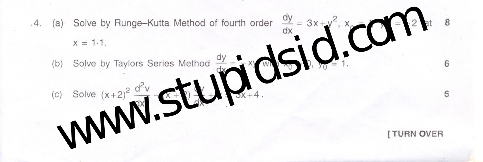